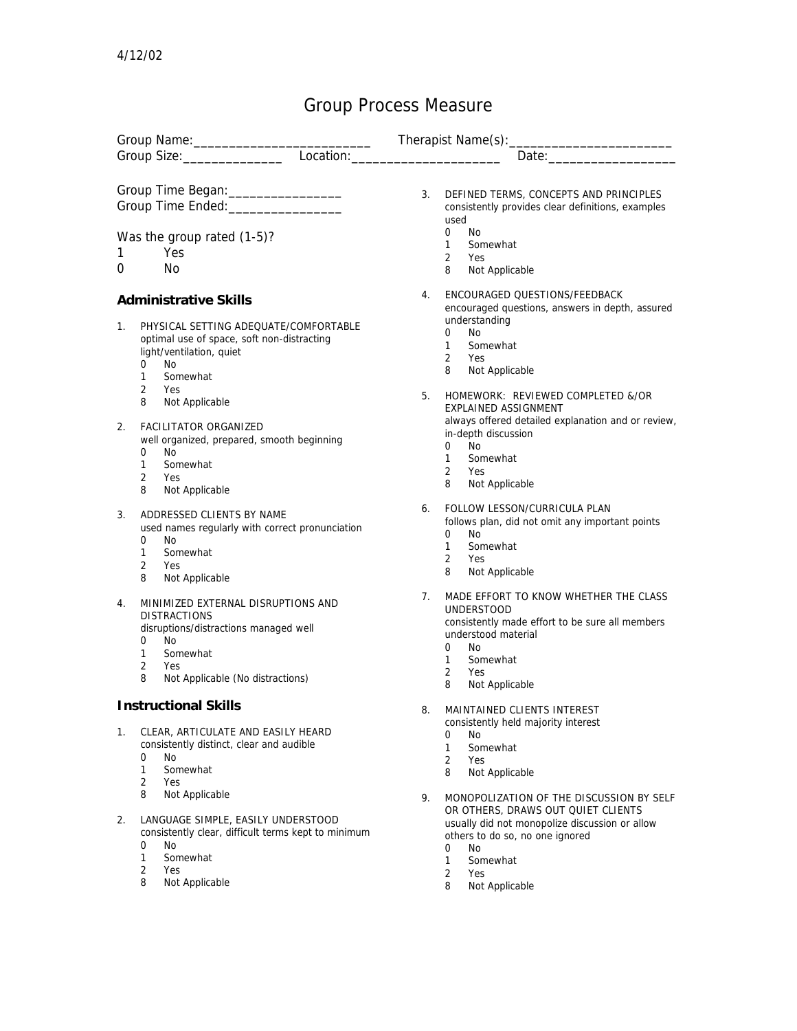## Group Process Measure

|                              |                                                                                                                                                                                                             | Group Name:  Channel Constant Constant Constant Constant Constant Constant Constant Constant Constant Constant Constant Constant Constant Constant Constant Constant Constant Constant Constant Constant Constant Constant Con<br>Date: Date:                    |
|------------------------------|-------------------------------------------------------------------------------------------------------------------------------------------------------------------------------------------------------------|------------------------------------------------------------------------------------------------------------------------------------------------------------------------------------------------------------------------------------------------------------------|
|                              |                                                                                                                                                                                                             |                                                                                                                                                                                                                                                                  |
|                              | Group Time Began: _________________<br>Group Time Ended: ________________                                                                                                                                   | 3.<br>DEFINED TERMS, CONCEPTS AND PRINCIPLES<br>consistently provides clear definitions, examples<br>used                                                                                                                                                        |
| Was the group rated (1-5)?   |                                                                                                                                                                                                             | 0<br>No<br>$\mathbf{1}$<br>Somewhat                                                                                                                                                                                                                              |
| 1                            | Yes                                                                                                                                                                                                         | $\overline{2}$<br>Yes                                                                                                                                                                                                                                            |
| 0                            | N <sub>o</sub>                                                                                                                                                                                              | 8<br>Not Applicable                                                                                                                                                                                                                                              |
| <b>Administrative Skills</b> |                                                                                                                                                                                                             | ENCOURAGED OUESTIONS/FEEDBACK<br>4.<br>encouraged questions, answers in depth, assured                                                                                                                                                                           |
| $1_{\cdot}$                  | PHYSICAL SETTING ADEQUATE/COMFORTABLE<br>optimal use of space, soft non-distracting<br>light/ventilation, quiet<br>0<br>No.<br>1<br>Somewhat                                                                | understanding<br><b>No</b><br>$\Omega$<br>1<br>Somewhat<br>2<br><b>Yes</b><br>8<br>Not Applicable                                                                                                                                                                |
|                              | $\overline{2}$<br>Yes<br>8<br>Not Applicable                                                                                                                                                                | 5.<br>HOMEWORK: REVIEWED COMPLETED &/OR<br><b>EXPLAINED ASSIGNMENT</b>                                                                                                                                                                                           |
| 2.                           | FACILITATOR ORGANIZED<br>well organized, prepared, smooth beginning<br>No<br>0<br>$\mathbf{1}$<br>Somewhat<br>$\overline{2}$<br>Yes<br>8<br>Not Applicable                                                  | always offered detailed explanation and or review,<br>in-depth discussion<br>$\Omega$<br>N <sub>0</sub><br>Somewhat<br>1<br>2<br>Yes<br>8<br>Not Applicable                                                                                                      |
| 3.                           | ADDRESSED CLIENTS BY NAME<br>used names regularly with correct pronunciation<br>$\Omega$<br>No<br>Somewhat<br>1<br>$\overline{2}$<br>Yes<br>8<br>Not Applicable                                             | FOLLOW LESSON/CURRICULA PLAN<br>6.<br>follows plan, did not omit any important points<br><b>No</b><br>0<br>$\mathbf{1}$<br>Somewhat<br>$\overline{2}$<br>Yes<br>8<br>Not Applicable                                                                              |
| 4.                           | MINIMIZED EXTERNAL DISRUPTIONS AND<br><b>DISTRACTIONS</b><br>disruptions/distractions managed well<br>No<br>0<br>$\mathbf{1}$<br>Somewhat<br>$\overline{2}$<br>Yes<br>8<br>Not Applicable (No distractions) | 7.<br>MADE EFFORT TO KNOW WHETHER THE CLASS<br><b>UNDERSTOOD</b><br>consistently made effort to be sure all members<br>understood material<br>0<br>No.<br>$\mathbf{1}$<br>Somewhat<br>$\overline{2}$<br>Yes<br>8<br>Not Applicable                               |
| <b>Instructional Skills</b>  |                                                                                                                                                                                                             | MAINTAINED CLIENTS INTEREST<br>8.                                                                                                                                                                                                                                |
| 1.                           | CLEAR, ARTICULATE AND EASILY HEARD<br>consistently distinct, clear and audible<br>0<br>No<br>1<br>Somewhat<br>$\overline{2}$<br>Yes                                                                         | consistently held majority interest<br>$\Omega$<br>No<br>Somewhat<br>$\mathbf{1}$<br>$\overline{2}$<br>Yes<br>8<br>Not Applicable                                                                                                                                |
| 2.                           | Not Applicable<br>8<br>LANGUAGE SIMPLE, EASILY UNDERSTOOD<br>consistently clear, difficult terms kept to minimum<br>No<br>0<br>Somewhat<br>1<br>$\overline{2}$<br>Yes<br>8<br>Not Applicable                | 9.<br>MONOPOLIZATION OF THE DISCUSSION BY SELF<br>OR OTHERS, DRAWS OUT QUIET CLIENTS<br>usually did not monopolize discussion or allow<br>others to do so, no one ignored<br>No<br>0<br>$\mathbf{1}$<br>Somewhat<br>$\overline{2}$<br>Yes<br>8<br>Not Applicable |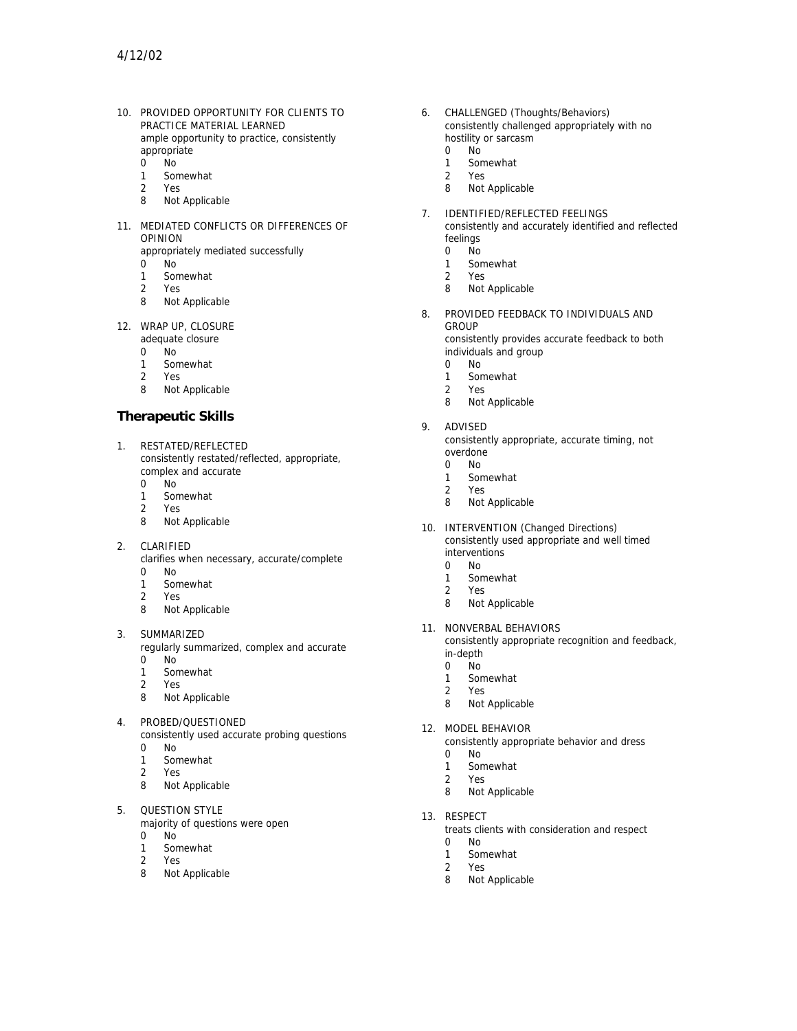10. PROVIDED OPPORTUNITY FOR CLIENTS TO PRACTICE MATERIAL LEARNED ample opportunity to practice, consistently appropriate

 $0$  No

- 1 Somewhat
- 2 Yes
- 8 Not Applicable
- 11. MEDIATED CONFLICTS OR DIFFERENCES OF OPINION
	- appropriately mediated successfully
	- 0 No
	- 1 Somewhat
	- 2 Yes
	- 8 Not Applicable
- 12. WRAP UP, CLOSURE
	- adequate closure
	- .<br>No
	- 1 Somewhat
	- 2 Yes
	- 8 Not Applicable

## **Therapeutic Skills**

- 1. RESTATED/REFLECTED consistently restated/reflected, appropriate, complex and accurate
	- 0 No
	- 1 Somewhat<br>2 Yes
	- 2 Yes
	- 8 Not Applicable
- 2. CLARIFIED
	- clarifies when necessary, accurate/complete 0 No
	- 1 Somewhat
	-
	- 2 Yes Not Applicable
- 3. SUMMARIZED
	- regularly summarized, complex and accurate 0 No
	- 1 Somewhat
	- 2 Yes
	- 8 Not Applicable
- 4. PROBED/QUESTIONED
	- consistently used accurate probing questions 0 No
	- 1 Somewhat
	- 2 Yes
	- 8 Not Applicable
- 5. QUESTION STYLE

majority of questions were open 0 No

- 1 Somewhat
- 
- 2 Yes<br>8 Not Not Applicable
- 6. CHALLENGED (Thoughts/Behaviors) consistently challenged appropriately with no hostility or sarcasm
	- 0 No
	- 1 Somewhat
	- 2 Yes
	- 8 Not Applicable
- 7. IDENTIFIED/REFLECTED FEELINGS consistently and accurately identified and reflected
	- feelings<br>0 No 0 No
	- 1 Somewhat
	- 2 Yes
	- 8 Not Applicable
- 8. PROVIDED FEEDBACK TO INDIVIDUALS AND GROUP consistently provides accurate feedback to both individuals and group
	- 0 No
	- 1 Somewhat
	- 2 Yes
	- 8 Not Applicable
- 9. ADVISED
	- consistently appropriate, accurate timing, not overdone
	- 0 No
	- 1 Somewhat
	- 2 Yes
	- 8 Not Applicable
- 10. INTERVENTION (Changed Directions) consistently used appropriate and well timed interventions
	- 0 No
	- 1 Somewhat
	- 2 Yes
	- 8 Not Applicable
- 11. NONVERBAL BEHAVIORS consistently appropriate recognition and feedback, in-depth
	- 0 No
	- 1 Somewhat
	- 2 Yes
	- 8 Not Applicable
- 12. MODEL BEHAVIOR
	- consistently appropriate behavior and dress
	- 0 No
	- 1 Somewhat
	- 2 Yes
	- 8 Not Applicable
- 13. RESPECT
	- treats clients with consideration and respect
	- 0 No
	- 1 Somewhat
	- 2 Yes
	- 8 Not Applicable